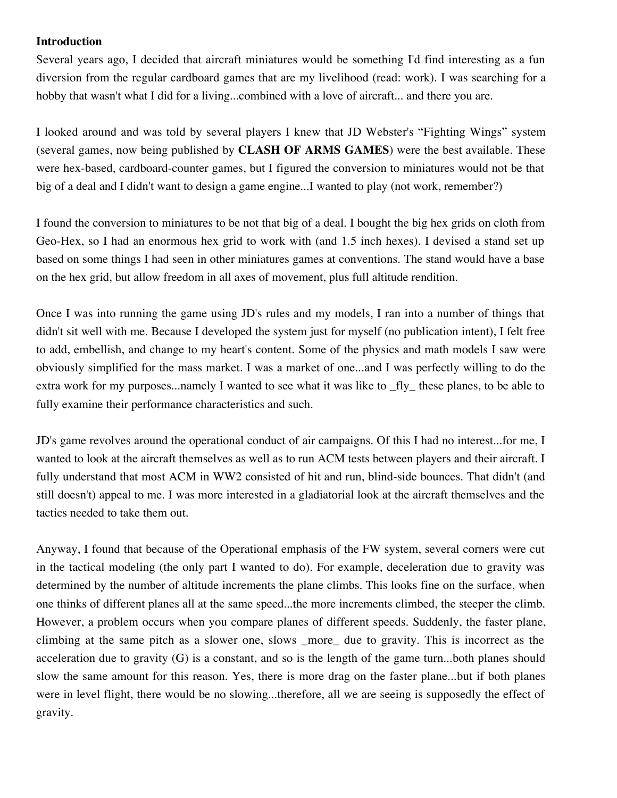#### **Introduction**

Several years ago, I decided that aircraft miniatures would be something I'd find interesting as a fun diversion from the regular cardboard games that are my livelihood (read: work). I was searching for a hobby that wasn't what I did for a living...combined with a love of aircraft... and there you are.

I looked around and was told by several players I knew that JD Webster's "Fighting Wings" system (several games, now being published by **CLASH OF ARMS GAMES**) were the best available. These were hex-based, cardboard-counter games, but I figured the conversion to miniatures would not be that big of a deal and I didn't want to design a game engine...I wanted to play (not work, remember?)

I found the conversion to miniatures to be not that big of a deal. I bought the big hex grids on cloth from Geo-Hex, so I had an enormous hex grid to work with (and 1.5 inch hexes). I devised a stand set up based on some things I had seen in other miniatures games at conventions. The stand would have a base on the hex grid, but allow freedom in all axes of movement, plus full altitude rendition.

Once I was into running the game using JD's rules and my models, I ran into a number of things that didn't sit well with me. Because I developed the system just for myself (no publication intent), I felt free to add, embellish, and change to my heart's content. Some of the physics and math models I saw were obviously simplified for the mass market. I was a market of one...and I was perfectly willing to do the extra work for my purposes...namely I wanted to see what it was like to \_fly\_ these planes, to be able to fully examine their performance characteristics and such.

JD's game revolves around the operational conduct of air campaigns. Of this I had no interest...for me, I wanted to look at the aircraft themselves as well as to run ACM tests between players and their aircraft. I fully understand that most ACM in WW2 consisted of hit and run, blind-side bounces. That didn't (and still doesn't) appeal to me. I was more interested in a gladiatorial look at the aircraft themselves and the tactics needed to take them out.

Anyway, I found that because of the Operational emphasis of the FW system, several corners were cut in the tactical modeling (the only part I wanted to do). For example, deceleration due to gravity was determined by the number of altitude increments the plane climbs. This looks fine on the surface, when one thinks of different planes all at the same speed...the more increments climbed, the steeper the climb. However, a problem occurs when you compare planes of different speeds. Suddenly, the faster plane, climbing at the same pitch as a slower one, slows \_more\_ due to gravity. This is incorrect as the acceleration due to gravity (G) is a constant, and so is the length of the game turn...both planes should slow the same amount for this reason. Yes, there is more drag on the faster plane...but if both planes were in level flight, there would be no slowing...therefore, all we are seeing is supposedly the effect of gravity.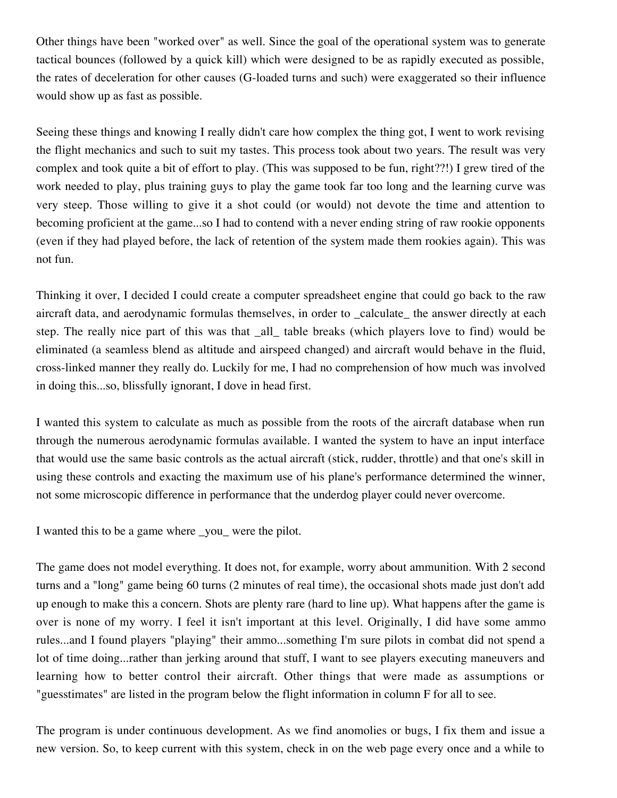Other things have been "worked over" as well. Since the goal of the operational system was to generate tactical bounces (followed by a quick kill) which were designed to be as rapidly executed as possible, the rates of deceleration for other causes (G-loaded turns and such) were exaggerated so their influence would show up as fast as possible.

Seeing these things and knowing I really didn't care how complex the thing got, I went to work revising the flight mechanics and such to suit my tastes. This process took about two years. The result was very complex and took quite a bit of effort to play. (This was supposed to be fun, right??!) I grew tired of the work needed to play, plus training guys to play the game took far too long and the learning curve was very steep. Those willing to give it a shot could (or would) not devote the time and attention to becoming proficient at the game...so I had to contend with a never ending string of raw rookie opponents (even if they had played before, the lack of retention of the system made them rookies again). This was not fun.

Thinking it over, I decided I could create a computer spreadsheet engine that could go back to the raw aircraft data, and aerodynamic formulas themselves, in order to calculate the answer directly at each step. The really nice part of this was that \_all\_ table breaks (which players love to find) would be eliminated (a seamless blend as altitude and airspeed changed) and aircraft would behave in the fluid, cross-linked manner they really do. Luckily for me, I had no comprehension of how much was involved in doing this...so, blissfully ignorant, I dove in head first.

I wanted this system to calculate as much as possible from the roots of the aircraft database when run through the numerous aerodynamic formulas available. I wanted the system to have an input interface that would use the same basic controls as the actual aircraft (stick, rudder, throttle) and that one's skill in using these controls and exacting the maximum use of his plane's performance determined the winner, not some microscopic difference in performance that the underdog player could never overcome.

I wanted this to be a game where \_you\_ were the pilot.

The game does not model everything. It does not, for example, worry about ammunition. With 2 second turns and a "long" game being 60 turns (2 minutes of real time), the occasional shots made just don't add up enough to make this a concern. Shots are plenty rare (hard to line up). What happens after the game is over is none of my worry. I feel it isn't important at this level. Originally, I did have some ammo rules...and I found players "playing" their ammo...something I'm sure pilots in combat did not spend a lot of time doing...rather than jerking around that stuff, I want to see players executing maneuvers and learning how to better control their aircraft. Other things that were made as assumptions or "guesstimates" are listed in the program below the flight information in column F for all to see.

The program is under continuous development. As we find anomolies or bugs, I fix them and issue a new version. So, to keep current with this system, check in on the web page every once and a while to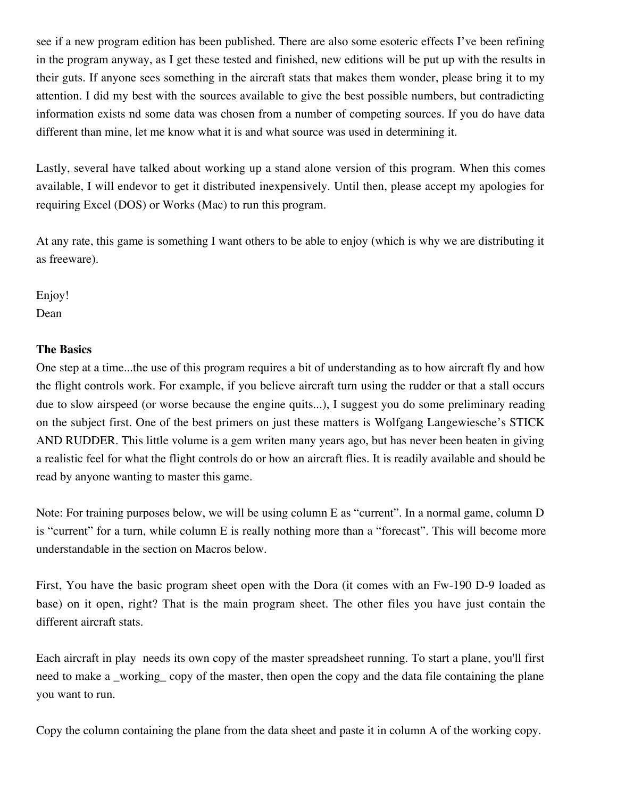see if a new program edition has been published. There are also some esoteric effects I've been refining in the program anyway, as I get these tested and finished, new editions will be put up with the results in their guts. If anyone sees something in the aircraft stats that makes them wonder, please bring it to my attention. I did my best with the sources available to give the best possible numbers, but contradicting information exists nd some data was chosen from a number of competing sources. If you do have data different than mine, let me know what it is and what source was used in determining it.

Lastly, several have talked about working up a stand alone version of this program. When this comes available, I will endevor to get it distributed inexpensively. Until then, please accept my apologies for requiring Excel (DOS) or Works (Mac) to run this program.

At any rate, this game is something I want others to be able to enjoy (which is why we are distributing it as freeware).

Enjoy! Dean

#### **The Basics**

One step at a time...the use of this program requires a bit of understanding as to how aircraft fly and how the flight controls work. For example, if you believe aircraft turn using the rudder or that a stall occurs due to slow airspeed (or worse because the engine quits...), I suggest you do some preliminary reading on the subject first. One of the best primers on just these matters is Wolfgang Langewiesche's STICK AND RUDDER. This little volume is a gem writen many years ago, but has never been beaten in giving a realistic feel for what the flight controls do or how an aircraft flies. It is readily available and should be read by anyone wanting to master this game.

Note: For training purposes below, we will be using column E as "current". In a normal game, column D is "current" for a turn, while column E is really nothing more than a "forecast". This will become more understandable in the section on Macros below.

First, You have the basic program sheet open with the Dora (it comes with an Fw-190 D-9 loaded as base) on it open, right? That is the main program sheet. The other files you have just contain the different aircraft stats.

Each aircraft in play needs its own copy of the master spreadsheet running. To start a plane, you'll first need to make a \_working\_ copy of the master, then open the copy and the data file containing the plane you want to run.

Copy the column containing the plane from the data sheet and paste it in column A of the working copy.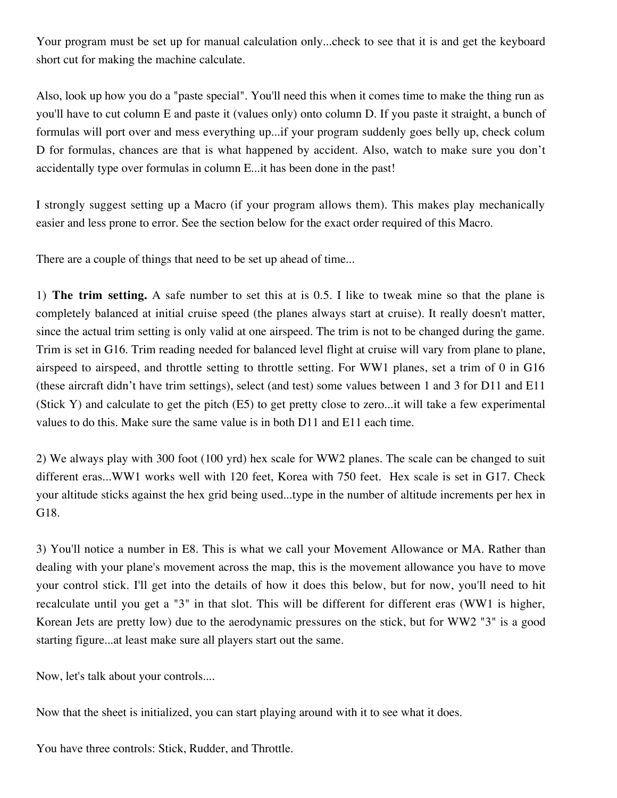Your program must be set up for manual calculation only...check to see that it is and get the keyboard short cut for making the machine calculate.

Also, look up how you do a "paste special". You'll need this when it comes time to make the thing run as you'll have to cut column E and paste it (values only) onto column D. If you paste it straight, a bunch of formulas will port over and mess everything up...if your program suddenly goes belly up, check colum D for formulas, chances are that is what happened by accident. Also, watch to make sure you don't accidentally type over formulas in column E...it has been done in the past!

I strongly suggest setting up a Macro (if your program allows them). This makes play mechanically easier and less prone to error. See the section below for the exact order required of this Macro.

There are a couple of things that need to be set up ahead of time...

1) **The trim setting.** A safe number to set this at is 0.5. I like to tweak mine so that the plane is completely balanced at initial cruise speed (the planes always start at cruise). It really doesn't matter, since the actual trim setting is only valid at one airspeed. The trim is not to be changed during the game. Trim is set in G16. Trim reading needed for balanced level flight at cruise will vary from plane to plane, airspeed to airspeed, and throttle setting to throttle setting. For WW1 planes, set a trim of 0 in G16 (these aircraft didn't have trim settings), select (and test) some values between 1 and 3 for D11 and E11 (Stick Y) and calculate to get the pitch (E5) to get pretty close to zero...it will take a few experimental values to do this. Make sure the same value is in both D11 and E11 each time.

2) We always play with 300 foot (100 yrd) hex scale for WW2 planes. The scale can be changed to suit different eras...WW1 works well with 120 feet, Korea with 750 feet. Hex scale is set in G17. Check your altitude sticks against the hex grid being used...type in the number of altitude increments per hex in G18.

3) You'll notice a number in E8. This is what we call your Movement Allowance or MA. Rather than dealing with your plane's movement across the map, this is the movement allowance you have to move your control stick. I'll get into the details of how it does this below, but for now, you'll need to hit recalculate until you get a "3" in that slot. This will be different for different eras (WW1 is higher, Korean Jets are pretty low) due to the aerodynamic pressures on the stick, but for WW2 "3" is a good starting figure...at least make sure all players start out the same.

Now, let's talk about your controls....

Now that the sheet is initialized, you can start playing around with it to see what it does.

You have three controls: Stick, Rudder, and Throttle.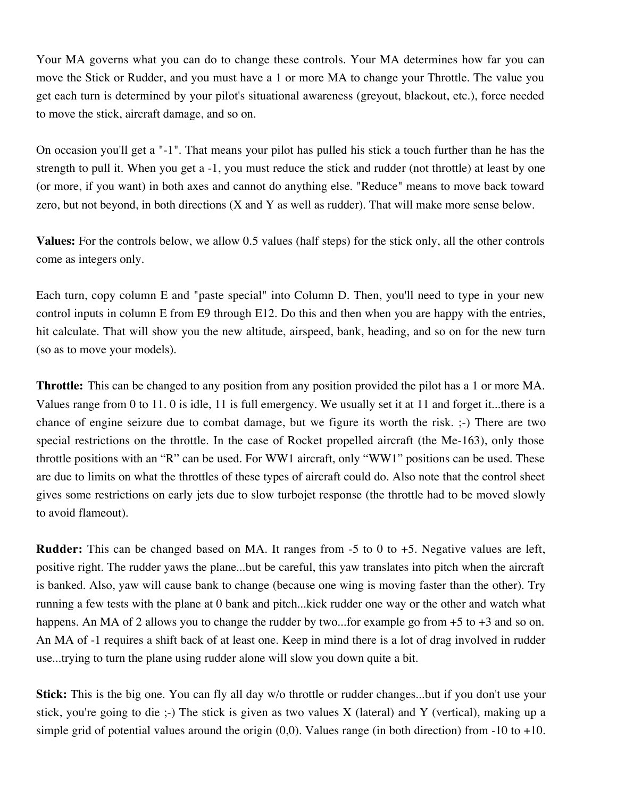Your MA governs what you can do to change these controls. Your MA determines how far you can move the Stick or Rudder, and you must have a 1 or more MA to change your Throttle. The value you get each turn is determined by your pilot's situational awareness (greyout, blackout, etc.), force needed to move the stick, aircraft damage, and so on.

On occasion you'll get a "-1". That means your pilot has pulled his stick a touch further than he has the strength to pull it. When you get a -1, you must reduce the stick and rudder (not throttle) at least by one (or more, if you want) in both axes and cannot do anything else. "Reduce" means to move back toward zero, but not beyond, in both directions (X and Y as well as rudder). That will make more sense below.

**Values:** For the controls below, we allow 0.5 values (half steps) for the stick only, all the other controls come as integers only.

Each turn, copy column E and "paste special" into Column D. Then, you'll need to type in your new control inputs in column E from E9 through E12. Do this and then when you are happy with the entries, hit calculate. That will show you the new altitude, airspeed, bank, heading, and so on for the new turn (so as to move your models).

**Throttle:** This can be changed to any position from any position provided the pilot has a 1 or more MA. Values range from 0 to 11. 0 is idle, 11 is full emergency. We usually set it at 11 and forget it...there is a chance of engine seizure due to combat damage, but we figure its worth the risk. ;-) There are two special restrictions on the throttle. In the case of Rocket propelled aircraft (the Me-163), only those throttle positions with an "R" can be used. For WW1 aircraft, only "WW1" positions can be used. These are due to limits on what the throttles of these types of aircraft could do. Also note that the control sheet gives some restrictions on early jets due to slow turbojet response (the throttle had to be moved slowly to avoid flameout).

**Rudder:** This can be changed based on MA. It ranges from -5 to 0 to +5. Negative values are left, positive right. The rudder yaws the plane...but be careful, this yaw translates into pitch when the aircraft is banked. Also, yaw will cause bank to change (because one wing is moving faster than the other). Try running a few tests with the plane at 0 bank and pitch...kick rudder one way or the other and watch what happens. An MA of 2 allows you to change the rudder by two...for example go from  $+5$  to  $+3$  and so on. An MA of -1 requires a shift back of at least one. Keep in mind there is a lot of drag involved in rudder use...trying to turn the plane using rudder alone will slow you down quite a bit.

**Stick:** This is the big one. You can fly all day w/o throttle or rudder changes...but if you don't use your stick, you're going to die ;-) The stick is given as two values  $X$  (lateral) and Y (vertical), making up a simple grid of potential values around the origin  $(0,0)$ . Values range (in both direction) from -10 to +10.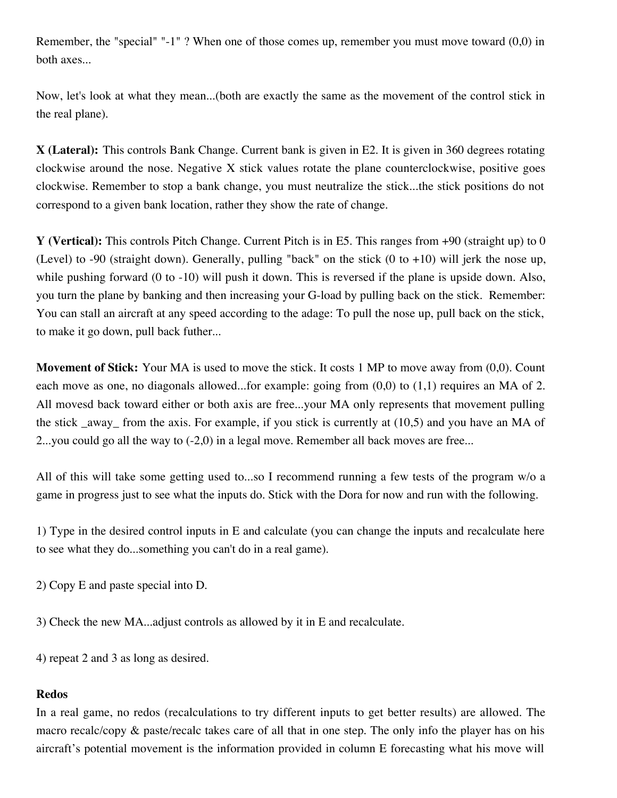Remember, the "special" "-1" ? When one of those comes up, remember you must move toward (0,0) in both axes...

Now, let's look at what they mean...(both are exactly the same as the movement of the control stick in the real plane).

**X (Lateral):** This controls Bank Change. Current bank is given in E2. It is given in 360 degrees rotating clockwise around the nose. Negative X stick values rotate the plane counterclockwise, positive goes clockwise. Remember to stop a bank change, you must neutralize the stick...the stick positions do not correspond to a given bank location, rather they show the rate of change.

**Y (Vertical):** This controls Pitch Change. Current Pitch is in E5. This ranges from +90 (straight up) to 0 (Level) to -90 (straight down). Generally, pulling "back" on the stick  $(0 \text{ to } +10)$  will jerk the nose up, while pushing forward (0 to -10) will push it down. This is reversed if the plane is upside down. Also, you turn the plane by banking and then increasing your G-load by pulling back on the stick. Remember: You can stall an aircraft at any speed according to the adage: To pull the nose up, pull back on the stick, to make it go down, pull back futher...

**Movement of Stick:** Your MA is used to move the stick. It costs 1 MP to move away from  $(0,0)$ . Count each move as one, no diagonals allowed...for example: going from (0,0) to (1,1) requires an MA of 2. All movesd back toward either or both axis are free...your MA only represents that movement pulling the stick away from the axis. For example, if you stick is currently at  $(10,5)$  and you have an MA of 2...you could go all the way to  $(-2,0)$  in a legal move. Remember all back moves are free...

All of this will take some getting used to...so I recommend running a few tests of the program w/o a game in progress just to see what the inputs do. Stick with the Dora for now and run with the following.

1) Type in the desired control inputs in E and calculate (you can change the inputs and recalculate here to see what they do...something you can't do in a real game).

2) Copy E and paste special into D.

3) Check the new MA...adjust controls as allowed by it in E and recalculate.

4) repeat 2 and 3 as long as desired.

#### **Redos**

In a real game, no redos (recalculations to try different inputs to get better results) are allowed. The macro recalc/copy & paste/recalc takes care of all that in one step. The only info the player has on his aircraft's potential movement is the information provided in column E forecasting what his move will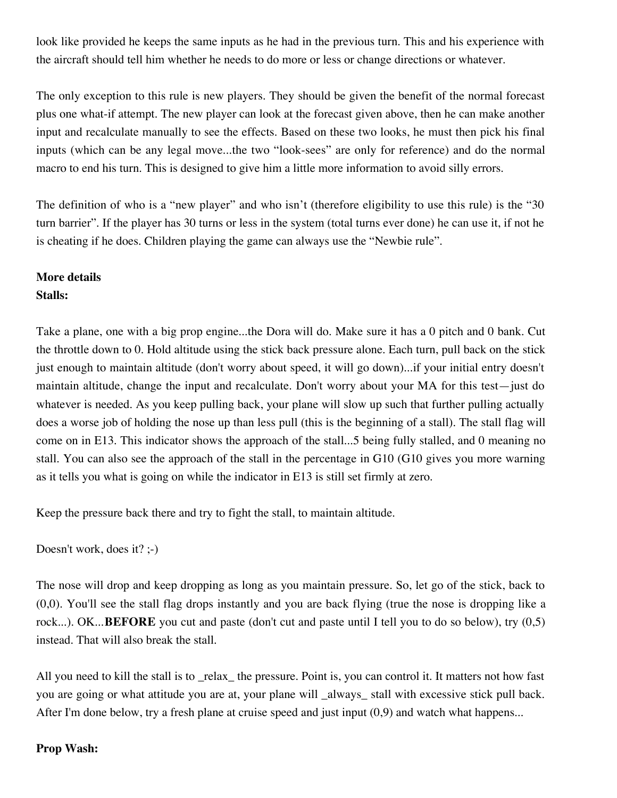look like provided he keeps the same inputs as he had in the previous turn. This and his experience with the aircraft should tell him whether he needs to do more or less or change directions or whatever.

The only exception to this rule is new players. They should be given the benefit of the normal forecast plus one what-if attempt. The new player can look at the forecast given above, then he can make another input and recalculate manually to see the effects. Based on these two looks, he must then pick his final inputs (which can be any legal move...the two "look-sees" are only for reference) and do the normal macro to end his turn. This is designed to give him a little more information to avoid silly errors.

The definition of who is a "new player" and who isn't (therefore eligibility to use this rule) is the "30 turn barrier". If the player has 30 turns or less in the system (total turns ever done) he can use it, if not he is cheating if he does. Children playing the game can always use the "Newbie rule".

# **More details Stalls:**

Take a plane, one with a big prop engine...the Dora will do. Make sure it has a 0 pitch and 0 bank. Cut the throttle down to 0. Hold altitude using the stick back pressure alone. Each turn, pull back on the stick just enough to maintain altitude (don't worry about speed, it will go down)...if your initial entry doesn't maintain altitude, change the input and recalculate. Don't worry about your MA for this test—just do whatever is needed. As you keep pulling back, your plane will slow up such that further pulling actually does a worse job of holding the nose up than less pull (this is the beginning of a stall). The stall flag will come on in E13. This indicator shows the approach of the stall...5 being fully stalled, and 0 meaning no stall. You can also see the approach of the stall in the percentage in G10 (G10 gives you more warning as it tells you what is going on while the indicator in E13 is still set firmly at zero.

Keep the pressure back there and try to fight the stall, to maintain altitude.

Doesn't work, does it? ;-)

The nose will drop and keep dropping as long as you maintain pressure. So, let go of the stick, back to (0,0). You'll see the stall flag drops instantly and you are back flying (true the nose is dropping like a rock...). OK...**BEFORE** you cut and paste (don't cut and paste until I tell you to do so below), try (0,5) instead. That will also break the stall.

All you need to kill the stall is to \_relax\_ the pressure. Point is, you can control it. It matters not how fast you are going or what attitude you are at, your plane will \_always\_ stall with excessive stick pull back. After I'm done below, try a fresh plane at cruise speed and just input  $(0,9)$  and watch what happens...

# **Prop Wash:**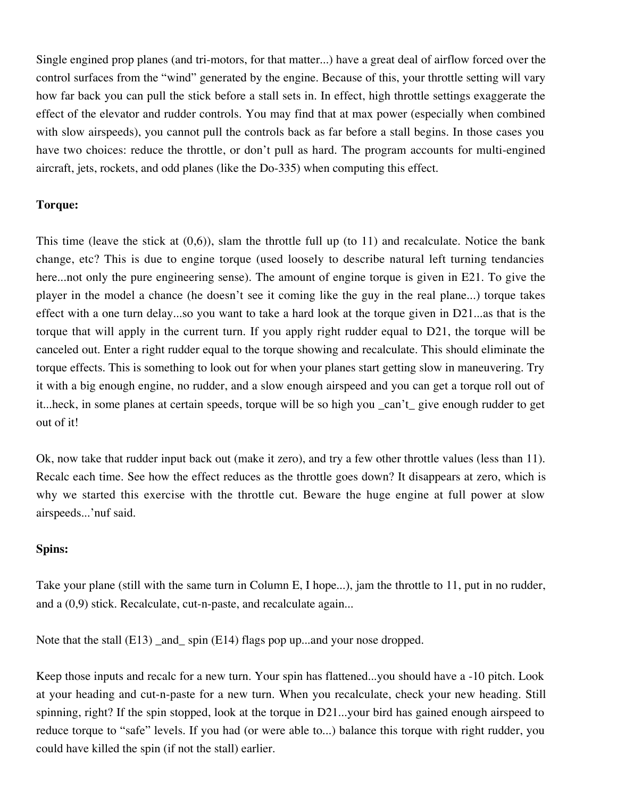Single engined prop planes (and tri-motors, for that matter...) have a great deal of airflow forced over the control surfaces from the "wind" generated by the engine. Because of this, your throttle setting will vary how far back you can pull the stick before a stall sets in. In effect, high throttle settings exaggerate the effect of the elevator and rudder controls. You may find that at max power (especially when combined with slow airspeeds), you cannot pull the controls back as far before a stall begins. In those cases you have two choices: reduce the throttle, or don't pull as hard. The program accounts for multi-engined aircraft, jets, rockets, and odd planes (like the Do-335) when computing this effect.

#### **Torque:**

This time (leave the stick at  $(0,6)$ ), slam the throttle full up (to 11) and recalculate. Notice the bank change, etc? This is due to engine torque (used loosely to describe natural left turning tendancies here...not only the pure engineering sense). The amount of engine torque is given in E21. To give the player in the model a chance (he doesn't see it coming like the guy in the real plane...) torque takes effect with a one turn delay...so you want to take a hard look at the torque given in D21...as that is the torque that will apply in the current turn. If you apply right rudder equal to D21, the torque will be canceled out. Enter a right rudder equal to the torque showing and recalculate. This should eliminate the torque effects. This is something to look out for when your planes start getting slow in maneuvering. Try it with a big enough engine, no rudder, and a slow enough airspeed and you can get a torque roll out of it...heck, in some planes at certain speeds, torque will be so high you \_can't\_ give enough rudder to get out of it!

Ok, now take that rudder input back out (make it zero), and try a few other throttle values (less than 11). Recalc each time. See how the effect reduces as the throttle goes down? It disappears at zero, which is why we started this exercise with the throttle cut. Beware the huge engine at full power at slow airspeeds...'nuf said.

#### **Spins:**

Take your plane (still with the same turn in Column E, I hope...), jam the throttle to 11, put in no rudder, and a (0,9) stick. Recalculate, cut-n-paste, and recalculate again...

Note that the stall (E13) \_and\_ spin (E14) flags pop up...and your nose dropped.

Keep those inputs and recalc for a new turn. Your spin has flattened...you should have a -10 pitch. Look at your heading and cut-n-paste for a new turn. When you recalculate, check your new heading. Still spinning, right? If the spin stopped, look at the torque in D21...your bird has gained enough airspeed to reduce torque to "safe" levels. If you had (or were able to...) balance this torque with right rudder, you could have killed the spin (if not the stall) earlier.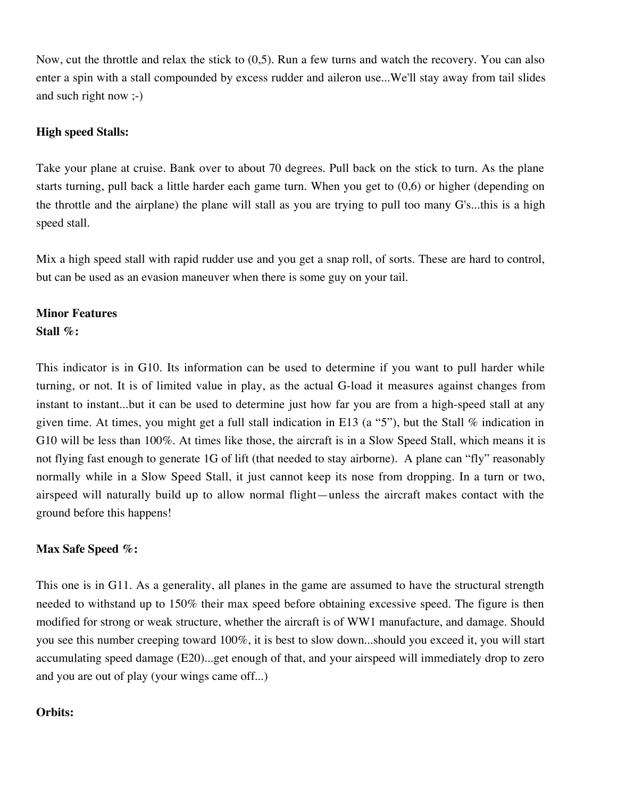Now, cut the throttle and relax the stick to (0,5). Run a few turns and watch the recovery. You can also enter a spin with a stall compounded by excess rudder and aileron use...We'll stay away from tail slides and such right now ;-)

### **High speed Stalls:**

Take your plane at cruise. Bank over to about 70 degrees. Pull back on the stick to turn. As the plane starts turning, pull back a little harder each game turn. When you get to (0,6) or higher (depending on the throttle and the airplane) the plane will stall as you are trying to pull too many G's...this is a high speed stall.

Mix a high speed stall with rapid rudder use and you get a snap roll, of sorts. These are hard to control, but can be used as an evasion maneuver when there is some guy on your tail.

# **Minor Features**

#### **Stall %:**

This indicator is in G10. Its information can be used to determine if you want to pull harder while turning, or not. It is of limited value in play, as the actual G-load it measures against changes from instant to instant...but it can be used to determine just how far you are from a high-speed stall at any given time. At times, you might get a full stall indication in E13 (a "5"), but the Stall % indication in G10 will be less than 100%. At times like those, the aircraft is in a Slow Speed Stall, which means it is not flying fast enough to generate 1G of lift (that needed to stay airborne). A plane can "fly" reasonably normally while in a Slow Speed Stall, it just cannot keep its nose from dropping. In a turn or two, airspeed will naturally build up to allow normal flight—unless the aircraft makes contact with the ground before this happens!

# **Max Safe Speed %:**

This one is in G11. As a generality, all planes in the game are assumed to have the structural strength needed to withstand up to 150% their max speed before obtaining excessive speed. The figure is then modified for strong or weak structure, whether the aircraft is of WW1 manufacture, and damage. Should you see this number creeping toward 100%, it is best to slow down...should you exceed it, you will start accumulating speed damage (E20)...get enough of that, and your airspeed will immediately drop to zero and you are out of play (your wings came off...)

# **Orbits:**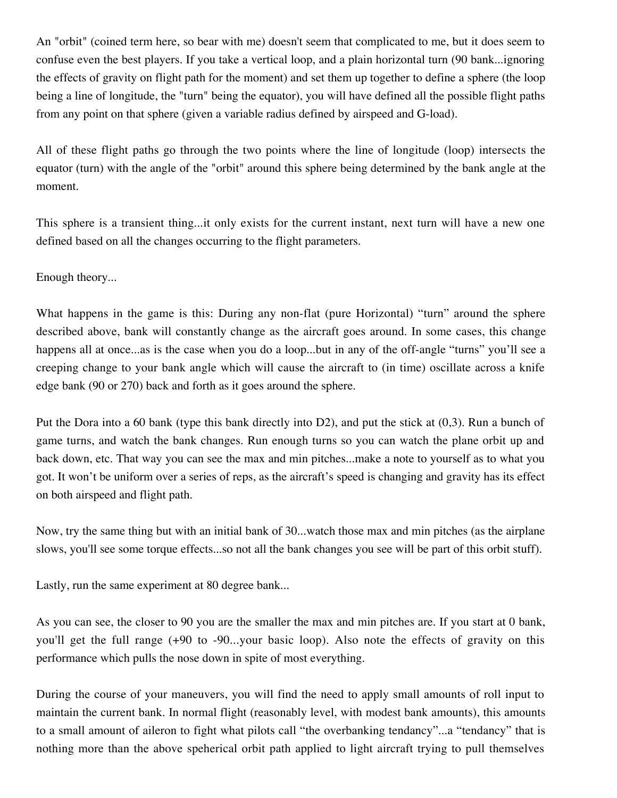An "orbit" (coined term here, so bear with me) doesn't seem that complicated to me, but it does seem to confuse even the best players. If you take a vertical loop, and a plain horizontal turn (90 bank...ignoring the effects of gravity on flight path for the moment) and set them up together to define a sphere (the loop being a line of longitude, the "turn" being the equator), you will have defined all the possible flight paths from any point on that sphere (given a variable radius defined by airspeed and G-load).

All of these flight paths go through the two points where the line of longitude (loop) intersects the equator (turn) with the angle of the "orbit" around this sphere being determined by the bank angle at the moment.

This sphere is a transient thing...it only exists for the current instant, next turn will have a new one defined based on all the changes occurring to the flight parameters.

Enough theory...

What happens in the game is this: During any non-flat (pure Horizontal) "turn" around the sphere described above, bank will constantly change as the aircraft goes around. In some cases, this change happens all at once...as is the case when you do a loop...but in any of the off-angle "turns" you'll see a creeping change to your bank angle which will cause the aircraft to (in time) oscillate across a knife edge bank (90 or 270) back and forth as it goes around the sphere.

Put the Dora into a 60 bank (type this bank directly into D2), and put the stick at (0,3). Run a bunch of game turns, and watch the bank changes. Run enough turns so you can watch the plane orbit up and back down, etc. That way you can see the max and min pitches...make a note to yourself as to what you got. It won't be uniform over a series of reps, as the aircraft's speed is changing and gravity has its effect on both airspeed and flight path.

Now, try the same thing but with an initial bank of 30...watch those max and min pitches (as the airplane slows, you'll see some torque effects...so not all the bank changes you see will be part of this orbit stuff).

Lastly, run the same experiment at 80 degree bank...

As you can see, the closer to 90 you are the smaller the max and min pitches are. If you start at 0 bank, you'll get the full range (+90 to -90...your basic loop). Also note the effects of gravity on this performance which pulls the nose down in spite of most everything.

During the course of your maneuvers, you will find the need to apply small amounts of roll input to maintain the current bank. In normal flight (reasonably level, with modest bank amounts), this amounts to a small amount of aileron to fight what pilots call "the overbanking tendancy"...a "tendancy" that is nothing more than the above speherical orbit path applied to light aircraft trying to pull themselves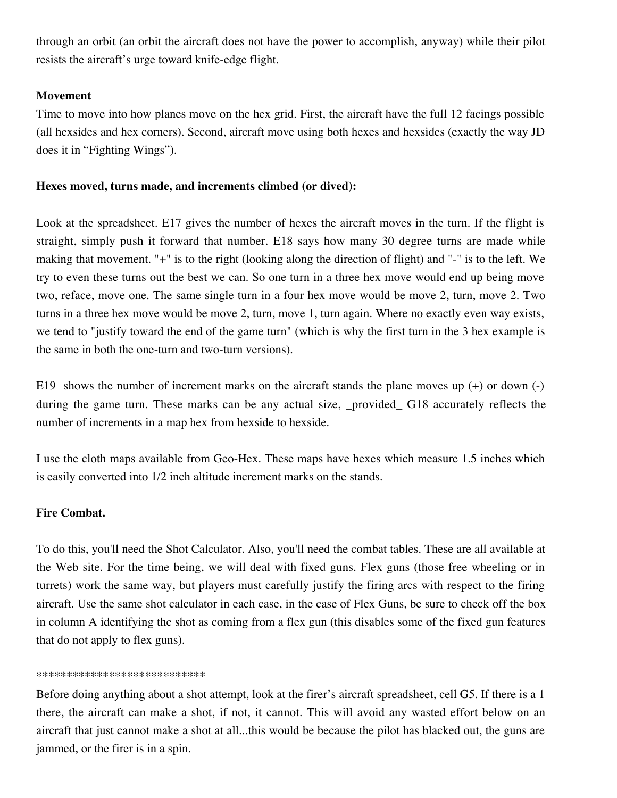through an orbit (an orbit the aircraft does not have the power to accomplish, anyway) while their pilot resists the aircraft's urge toward knife-edge flight.

### **Movement**

Time to move into how planes move on the hex grid. First, the aircraft have the full 12 facings possible (all hexsides and hex corners). Second, aircraft move using both hexes and hexsides (exactly the way JD does it in "Fighting Wings").

#### **Hexes moved, turns made, and increments climbed (or dived):**

Look at the spreadsheet. E17 gives the number of hexes the aircraft moves in the turn. If the flight is straight, simply push it forward that number. E18 says how many 30 degree turns are made while making that movement. "+" is to the right (looking along the direction of flight) and "-" is to the left. We try to even these turns out the best we can. So one turn in a three hex move would end up being move two, reface, move one. The same single turn in a four hex move would be move 2, turn, move 2. Two turns in a three hex move would be move 2, turn, move 1, turn again. Where no exactly even way exists, we tend to "justify toward the end of the game turn" (which is why the first turn in the 3 hex example is the same in both the one-turn and two-turn versions).

E19 shows the number of increment marks on the aircraft stands the plane moves up (+) or down (-) during the game turn. These marks can be any actual size, \_provided\_ G18 accurately reflects the number of increments in a map hex from hexside to hexside.

I use the cloth maps available from Geo-Hex. These maps have hexes which measure 1.5 inches which is easily converted into 1/2 inch altitude increment marks on the stands.

# **Fire Combat.**

To do this, you'll need the Shot Calculator. Also, you'll need the combat tables. These are all available at the Web site. For the time being, we will deal with fixed guns. Flex guns (those free wheeling or in turrets) work the same way, but players must carefully justify the firing arcs with respect to the firing aircraft. Use the same shot calculator in each case, in the case of Flex Guns, be sure to check off the box in column A identifying the shot as coming from a flex gun (this disables some of the fixed gun features that do not apply to flex guns).

#### \*\*\*\*\*\*\*\*\*\*\*\*\*\*\*\*\*\*\*\*\*\*\*\*\*\*\*\*

Before doing anything about a shot attempt, look at the firer's aircraft spreadsheet, cell G5. If there is a 1 there, the aircraft can make a shot, if not, it cannot. This will avoid any wasted effort below on an aircraft that just cannot make a shot at all...this would be because the pilot has blacked out, the guns are jammed, or the firer is in a spin.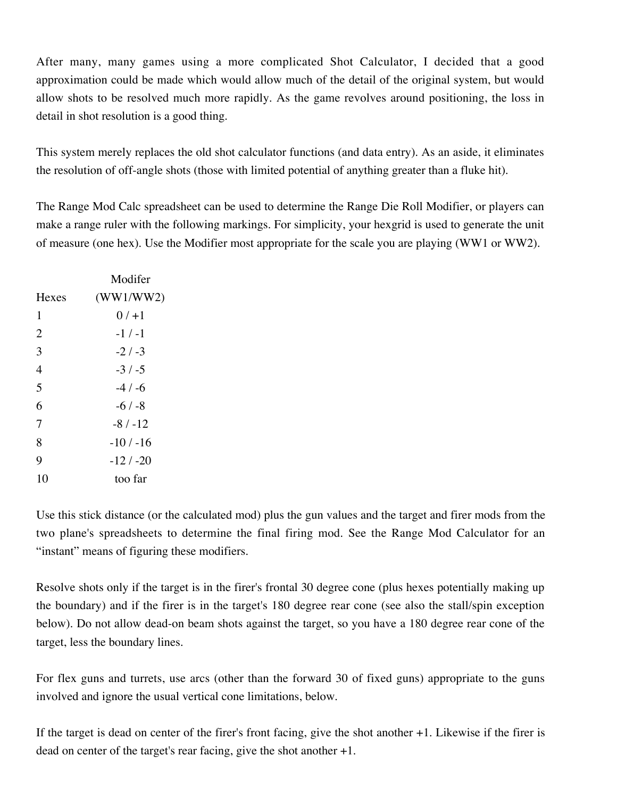After many, many games using a more complicated Shot Calculator, I decided that a good approximation could be made which would allow much of the detail of the original system, but would allow shots to be resolved much more rapidly. As the game revolves around positioning, the loss in detail in shot resolution is a good thing.

This system merely replaces the old shot calculator functions (and data entry). As an aside, it eliminates the resolution of off-angle shots (those with limited potential of anything greater than a fluke hit).

The Range Mod Calc spreadsheet can be used to determine the Range Die Roll Modifier, or players can make a range ruler with the following markings. For simplicity, your hexgrid is used to generate the unit of measure (one hex). Use the Modifier most appropriate for the scale you are playing (WW1 or WW2).

|                | Modifer    |
|----------------|------------|
| <b>Hexes</b>   | (WW1/WW2)  |
| 1              | $0/1 + 1$  |
| $\overline{2}$ | $-1/ -1$   |
| 3              | $-2/3$     |
| 4              | $-3/ -5$   |
| 5              | $-4/ -6$   |
| 6              | $-6/ -8$   |
| 7              | $-8/ -12$  |
| 8              | -10 / -16  |
| 9              | $-12/ -20$ |
| 10             | too far    |
|                |            |

Use this stick distance (or the calculated mod) plus the gun values and the target and firer mods from the two plane's spreadsheets to determine the final firing mod. See the Range Mod Calculator for an "instant" means of figuring these modifiers.

Resolve shots only if the target is in the firer's frontal 30 degree cone (plus hexes potentially making up the boundary) and if the firer is in the target's 180 degree rear cone (see also the stall/spin exception below). Do not allow dead-on beam shots against the target, so you have a 180 degree rear cone of the target, less the boundary lines.

For flex guns and turrets, use arcs (other than the forward 30 of fixed guns) appropriate to the guns involved and ignore the usual vertical cone limitations, below.

If the target is dead on center of the firer's front facing, give the shot another +1. Likewise if the firer is dead on center of the target's rear facing, give the shot another +1.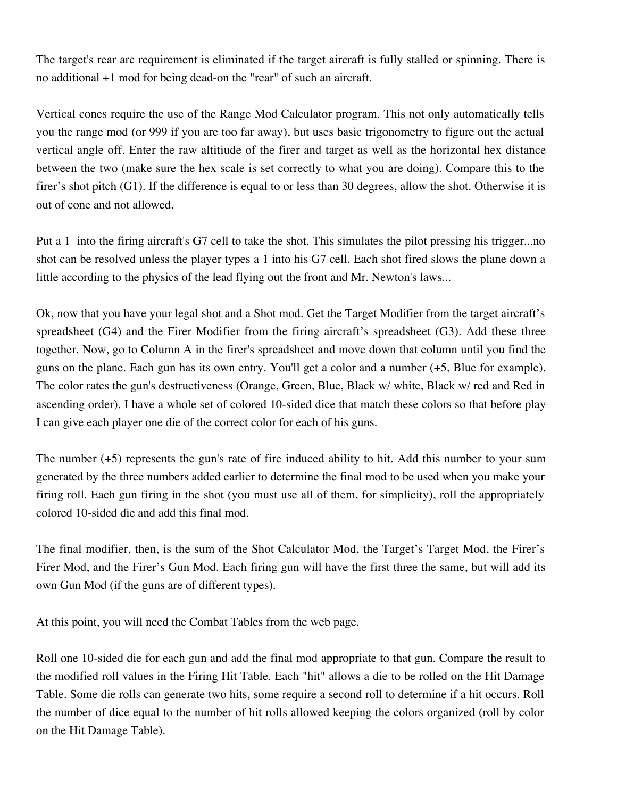The target's rear arc requirement is eliminated if the target aircraft is fully stalled or spinning. There is no additional +1 mod for being dead-on the "rear" of such an aircraft.

Vertical cones require the use of the Range Mod Calculator program. This not only automatically tells you the range mod (or 999 if you are too far away), but uses basic trigonometry to figure out the actual vertical angle off. Enter the raw altitiude of the firer and target as well as the horizontal hex distance between the two (make sure the hex scale is set correctly to what you are doing). Compare this to the firer's shot pitch (G1). If the difference is equal to or less than 30 degrees, allow the shot. Otherwise it is out of cone and not allowed.

Put a 1 into the firing aircraft's G7 cell to take the shot. This simulates the pilot pressing his trigger...no shot can be resolved unless the player types a 1 into his G7 cell. Each shot fired slows the plane down a little according to the physics of the lead flying out the front and Mr. Newton's laws...

Ok, now that you have your legal shot and a Shot mod. Get the Target Modifier from the target aircraft's spreadsheet (G4) and the Firer Modifier from the firing aircraft's spreadsheet (G3). Add these three together. Now, go to Column A in the firer's spreadsheet and move down that column until you find the guns on the plane. Each gun has its own entry. You'll get a color and a number (+5, Blue for example). The color rates the gun's destructiveness (Orange, Green, Blue, Black w/ white, Black w/ red and Red in ascending order). I have a whole set of colored 10-sided dice that match these colors so that before play I can give each player one die of the correct color for each of his guns.

The number (+5) represents the gun's rate of fire induced ability to hit. Add this number to your sum generated by the three numbers added earlier to determine the final mod to be used when you make your firing roll. Each gun firing in the shot (you must use all of them, for simplicity), roll the appropriately colored 10-sided die and add this final mod.

The final modifier, then, is the sum of the Shot Calculator Mod, the Target's Target Mod, the Firer's Firer Mod, and the Firer's Gun Mod. Each firing gun will have the first three the same, but will add its own Gun Mod (if the guns are of different types).

At this point, you will need the Combat Tables from the web page.

Roll one 10-sided die for each gun and add the final mod appropriate to that gun. Compare the result to the modified roll values in the Firing Hit Table. Each "hit" allows a die to be rolled on the Hit Damage Table. Some die rolls can generate two hits, some require a second roll to determine if a hit occurs. Roll the number of dice equal to the number of hit rolls allowed keeping the colors organized (roll by color on the Hit Damage Table).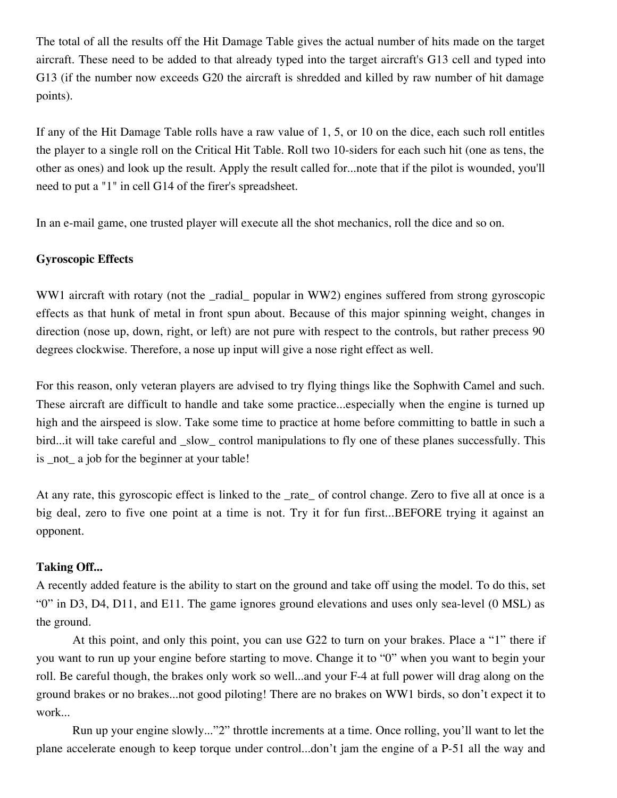The total of all the results off the Hit Damage Table gives the actual number of hits made on the target aircraft. These need to be added to that already typed into the target aircraft's G13 cell and typed into G13 (if the number now exceeds G20 the aircraft is shredded and killed by raw number of hit damage points).

If any of the Hit Damage Table rolls have a raw value of 1, 5, or 10 on the dice, each such roll entitles the player to a single roll on the Critical Hit Table. Roll two 10-siders for each such hit (one as tens, the other as ones) and look up the result. Apply the result called for...note that if the pilot is wounded, you'll need to put a "1" in cell G14 of the firer's spreadsheet.

In an e-mail game, one trusted player will execute all the shot mechanics, roll the dice and so on.

#### **Gyroscopic Effects**

WW1 aircraft with rotary (not the radial popular in WW2) engines suffered from strong gyroscopic effects as that hunk of metal in front spun about. Because of this major spinning weight, changes in direction (nose up, down, right, or left) are not pure with respect to the controls, but rather precess 90 degrees clockwise. Therefore, a nose up input will give a nose right effect as well.

For this reason, only veteran players are advised to try flying things like the Sophwith Camel and such. These aircraft are difficult to handle and take some practice...especially when the engine is turned up high and the airspeed is slow. Take some time to practice at home before committing to battle in such a bird...it will take careful and \_slow\_ control manipulations to fly one of these planes successfully. This is \_not\_ a job for the beginner at your table!

At any rate, this gyroscopic effect is linked to the rate of control change. Zero to five all at once is a big deal, zero to five one point at a time is not. Try it for fun first...BEFORE trying it against an opponent.

#### **Taking Off...**

A recently added feature is the ability to start on the ground and take off using the model. To do this, set "0" in D3, D4, D11, and E11. The game ignores ground elevations and uses only sea-level (0 MSL) as the ground.

At this point, and only this point, you can use G22 to turn on your brakes. Place a "1" there if you want to run up your engine before starting to move. Change it to "0" when you want to begin your roll. Be careful though, the brakes only work so well...and your F-4 at full power will drag along on the ground brakes or no brakes...not good piloting! There are no brakes on WW1 birds, so don't expect it to work...

Run up your engine slowly..."2" throttle increments at a time. Once rolling, you'll want to let the plane accelerate enough to keep torque under control...don't jam the engine of a P-51 all the way and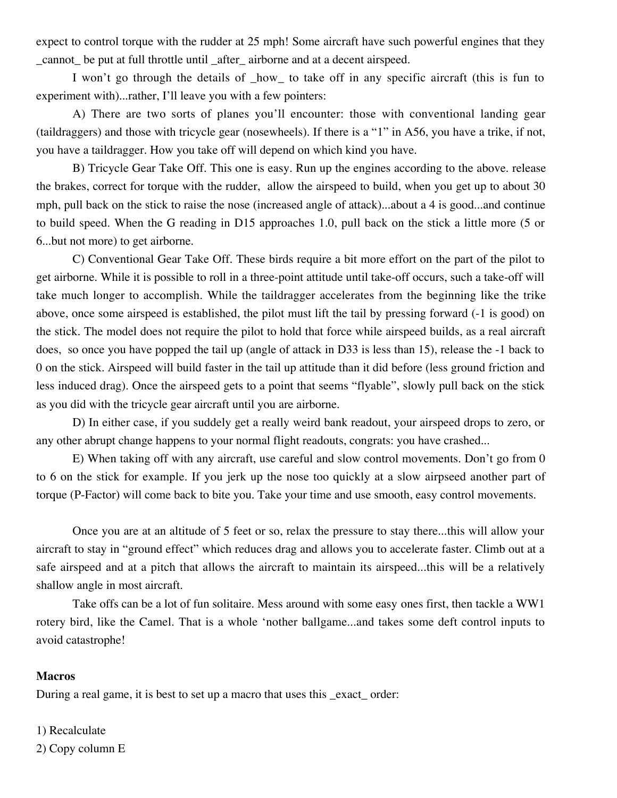expect to control torque with the rudder at 25 mph! Some aircraft have such powerful engines that they \_cannot\_ be put at full throttle until \_after\_ airborne and at a decent airspeed.

I won't go through the details of \_how\_ to take off in any specific aircraft (this is fun to experiment with)...rather, I'll leave you with a few pointers:

A) There are two sorts of planes you'll encounter: those with conventional landing gear (taildraggers) and those with tricycle gear (nosewheels). If there is a "1" in A56, you have a trike, if not, you have a taildragger. How you take off will depend on which kind you have.

B) Tricycle Gear Take Off. This one is easy. Run up the engines according to the above. release the brakes, correct for torque with the rudder, allow the airspeed to build, when you get up to about 30 mph, pull back on the stick to raise the nose (increased angle of attack)...about a 4 is good...and continue to build speed. When the G reading in D15 approaches 1.0, pull back on the stick a little more (5 or 6...but not more) to get airborne.

C) Conventional Gear Take Off. These birds require a bit more effort on the part of the pilot to get airborne. While it is possible to roll in a three-point attitude until take-off occurs, such a take-off will take much longer to accomplish. While the taildragger accelerates from the beginning like the trike above, once some airspeed is established, the pilot must lift the tail by pressing forward (-1 is good) on the stick. The model does not require the pilot to hold that force while airspeed builds, as a real aircraft does, so once you have popped the tail up (angle of attack in D33 is less than 15), release the -1 back to 0 on the stick. Airspeed will build faster in the tail up attitude than it did before (less ground friction and less induced drag). Once the airspeed gets to a point that seems "flyable", slowly pull back on the stick as you did with the tricycle gear aircraft until you are airborne.

D) In either case, if you suddely get a really weird bank readout, your airspeed drops to zero, or any other abrupt change happens to your normal flight readouts, congrats: you have crashed...

E) When taking off with any aircraft, use careful and slow control movements. Don't go from 0 to 6 on the stick for example. If you jerk up the nose too quickly at a slow airpseed another part of torque (P-Factor) will come back to bite you. Take your time and use smooth, easy control movements.

Once you are at an altitude of 5 feet or so, relax the pressure to stay there...this will allow your aircraft to stay in "ground effect" which reduces drag and allows you to accelerate faster. Climb out at a safe airspeed and at a pitch that allows the aircraft to maintain its airspeed...this will be a relatively shallow angle in most aircraft.

Take offs can be a lot of fun solitaire. Mess around with some easy ones first, then tackle a WW1 rotery bird, like the Camel. That is a whole 'nother ballgame...and takes some deft control inputs to avoid catastrophe!

#### **Macros**

During a real game, it is best to set up a macro that uses this \_exact\_ order:

# 1) Recalculate 2) Copy column E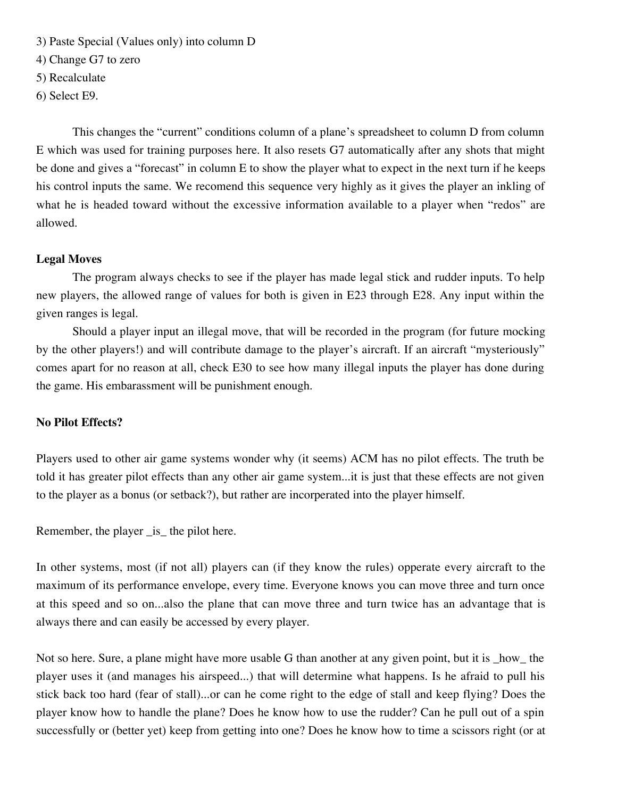3) Paste Special (Values only) into column D

4) Change G7 to zero

5) Recalculate

6) Select E9.

This changes the "current" conditions column of a plane's spreadsheet to column D from column E which was used for training purposes here. It also resets G7 automatically after any shots that might be done and gives a "forecast" in column E to show the player what to expect in the next turn if he keeps his control inputs the same. We recomend this sequence very highly as it gives the player an inkling of what he is headed toward without the excessive information available to a player when "redos" are allowed.

#### **Legal Moves**

The program always checks to see if the player has made legal stick and rudder inputs. To help new players, the allowed range of values for both is given in E23 through E28. Any input within the given ranges is legal.

Should a player input an illegal move, that will be recorded in the program (for future mocking by the other players!) and will contribute damage to the player's aircraft. If an aircraft "mysteriously" comes apart for no reason at all, check E30 to see how many illegal inputs the player has done during the game. His embarassment will be punishment enough.

#### **No Pilot Effects?**

Players used to other air game systems wonder why (it seems) ACM has no pilot effects. The truth be told it has greater pilot effects than any other air game system...it is just that these effects are not given to the player as a bonus (or setback?), but rather are incorperated into the player himself.

Remember, the player \_is\_ the pilot here.

In other systems, most (if not all) players can (if they know the rules) opperate every aircraft to the maximum of its performance envelope, every time. Everyone knows you can move three and turn once at this speed and so on...also the plane that can move three and turn twice has an advantage that is always there and can easily be accessed by every player.

Not so here. Sure, a plane might have more usable G than another at any given point, but it is \_how\_ the player uses it (and manages his airspeed...) that will determine what happens. Is he afraid to pull his stick back too hard (fear of stall)...or can he come right to the edge of stall and keep flying? Does the player know how to handle the plane? Does he know how to use the rudder? Can he pull out of a spin successfully or (better yet) keep from getting into one? Does he know how to time a scissors right (or at